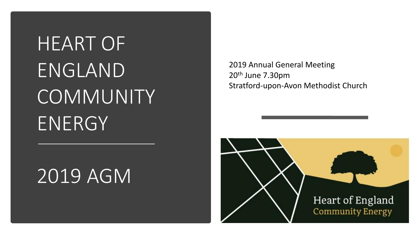# HEART OF ENGLAND **COMMUNITY** ENERGY

# 2019 AGM

2019 Annual General Meeting 20th June 7.30pm Stratford-upon-Avon Methodist Church

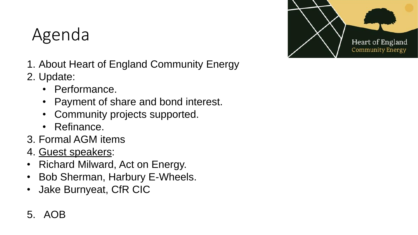# Agenda



- 1. About Heart of England Community Energy
- 2. Update:
	- Performance.
	- Payment of share and bond interest.
	- Community projects supported.
	- Refinance.
- 3. Formal AGM items
- 4. Guest speakers:
- Richard Milward, Act on Energy.
- Bob Sherman, Harbury E-Wheels.
- Jake Burnyeat, CfR CIC

### 5. AOB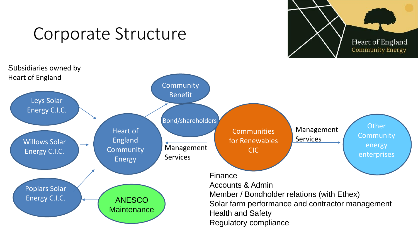

## Corporate Structure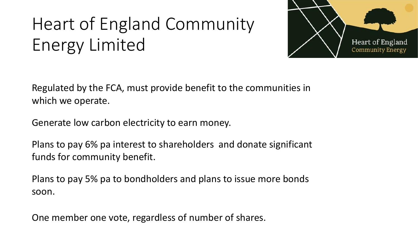# Heart of England Community Energy Limited



Regulated by the FCA, must provide benefit to the communities in which we operate.

Generate low carbon electricity to earn money.

Plans to pay 6% pa interest to shareholders and donate significant funds for community benefit.

Plans to pay 5% pa to bondholders and plans to issue more bonds soon.

One member one vote, regardless of number of shares.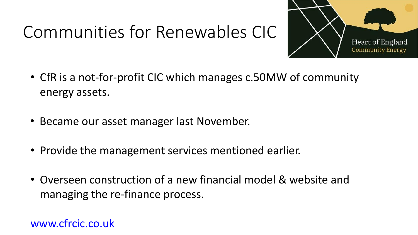# Communities for Renewables CIC



- CfR is a not-for-profit CIC which manages c.50MW of community energy assets.
- Became our asset manager last November.
- Provide the management services mentioned earlier.
- Overseen construction of a new financial model & website and managing the re-finance process.

[www.cfrcic.co.uk](http://www.cfrcic.co.uk/)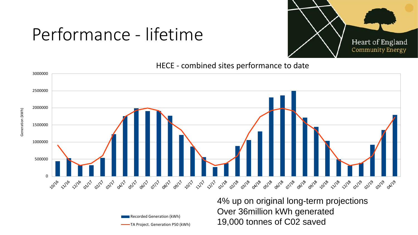# Performance - lifetime

Generation (kWh)

Generation (kWh)



HECE - combined sites performance to date



Recorded Generation (kWh) TA Project. Generation P50 (kWh) 4% up on original long-term projections Over 36million kWh generated 19,000 tonnes of C02 saved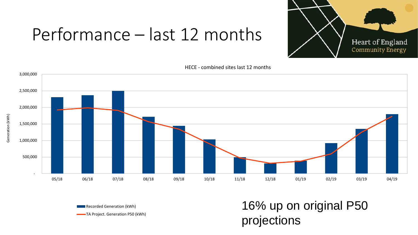# Performance – last 12 months



HECE - combined sites last 12 months



**Recorded Generation (kWh)** TA Project. Generation P50 (kWh)

## 16% up on original P50 projections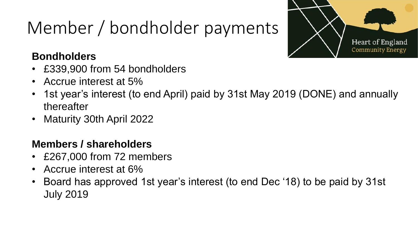# Member / bondholder payments



### **Bondholders**

- £339,900 from 54 bondholders
- Accrue interest at 5%
- 1st year's interest (to end April) paid by 31st May 2019 (DONE) and annually thereafter
- Maturity 30th April 2022

### **Members / shareholders**

- £267,000 from 72 members
- Accrue interest at 6%
- Board has approved 1st year's interest (to end Dec '18) to be paid by 31st July 2019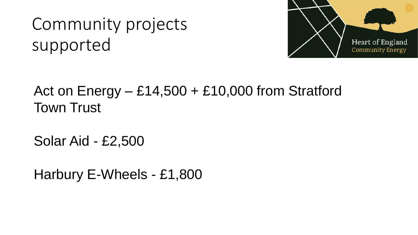# Community projects supported



## Act on  $Energy - £14,500 + £10,000$  from Stratford Town Trust

Solar Aid - £2,500

Harbury E-Wheels - £1,800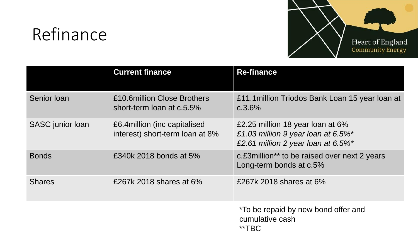# Refinance



|                  | <b>Current finance</b>                                           | <b>Re-finance</b>                                                                                                    |  |  |
|------------------|------------------------------------------------------------------|----------------------------------------------------------------------------------------------------------------------|--|--|
| Senior Ioan      | £10.6million Close Brothers<br>short-term loan at c.5.5%         | £11.1 million Triodos Bank Loan 15 year loan at<br>c.3.6%                                                            |  |  |
| SASC junior loan | £6.4 million (inc capitalised<br>interest) short-term loan at 8% | £2.25 million 18 year loan at 6%<br>£1.03 million 9 year loan at $6.5\%$ *<br>£2.61 million 2 year loan at $6.5\%$ * |  |  |
| <b>Bonds</b>     | £340k 2018 bonds at 5%                                           | c. £3 million <sup>**</sup> to be raised over next 2 years<br>Long-term bonds at c.5%                                |  |  |
| <b>Shares</b>    | £267k 2018 shares at 6%                                          | £267k 2018 shares at 6%                                                                                              |  |  |
|                  |                                                                  | *To be repaid by new bond offer and<br>cumulative cash<br>**TBC                                                      |  |  |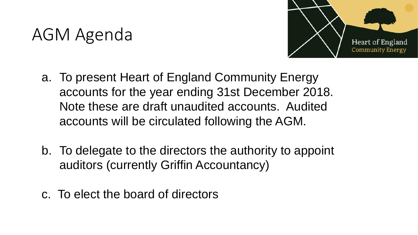# AGM Agenda



- a. To present Heart of England Community Energy accounts for the year ending 31st December 2018. Note these are draft unaudited accounts. Audited accounts will be circulated following the AGM.
- b. To delegate to the directors the authority to appoint auditors (currently Griffin Accountancy)
- c. To elect the board of directors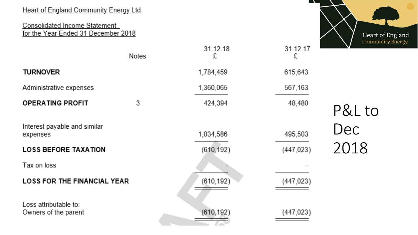#### **Heart of England Community Energy Ltd**

#### Consolidated Income Statement for the Year Ended 31 December 2018



|                                               | Notes | 31.12.18<br>£ | 31.12.17<br>£ | Commu  |
|-----------------------------------------------|-------|---------------|---------------|--------|
| <b>TURNOVER</b>                               |       | 1,784,459     | 615,643       |        |
| Administrative expenses                       |       | 1,360,065     | 567,163       |        |
| <b>OPERATING PROFIT</b>                       | 3     | 424,394       | 48,480        | P&L to |
| Interest payable and similar<br>expenses      |       | 1,034,586     | 495,503       | Dec    |
| <b>LOSS BEFORE TAXATION</b>                   |       | (610, 192)    | (447, 023)    | 2018   |
| Tax on loss                                   |       |               |               |        |
| <b>LOSS FOR THE FINANCIAL YEAR</b>            |       | (610, 192)    | (447, 023)    |        |
| Loss attributable to:<br>Owners of the parent |       | (610, 192)    | (447, 023)    |        |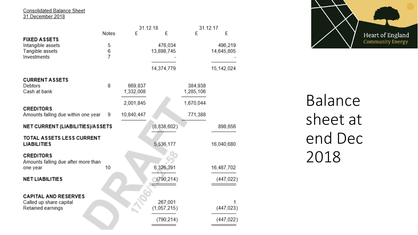Consolidated Balance Sheet<br>31 December 2018

|                                                         |                | 31.12.18   |             | 31.12.17  |            |
|---------------------------------------------------------|----------------|------------|-------------|-----------|------------|
|                                                         | Notes          | £          | £           | £         | £          |
| <b>FIXED ASSETS</b>                                     |                |            |             |           |            |
| Intangible assets                                       | 5              |            | 476,034     |           | 496,219    |
| Tangible assets                                         | 6              |            | 13,898,745  |           | 14,645,805 |
| Investments                                             | $\overline{7}$ |            |             |           |            |
|                                                         |                |            | 14,374,779  |           | 15,142,024 |
| <b>CURRENT ASSETS</b>                                   |                |            |             |           |            |
| Debtors                                                 | 8              | 669,837    |             | 384,938   |            |
| Cash at bank                                            |                | 1,332,008  |             | 1,285,106 |            |
|                                                         |                | 2,001,845  |             | 1,670,044 |            |
| <b>CREDITORS</b><br>Amounts falling due within one year | 9              | 10,840,447 |             | 771,388   |            |
| NET CURRENT (LIABILITIES)/ASSETS                        |                |            | (8,838,602) |           | 898,656    |
| <b>TOTAL ASSETS LESS CURRENT</b>                        |                |            |             |           |            |
| <b>LIABILITIES</b>                                      |                |            | 5,536,177   |           | 16,040,680 |
| <b>CREDITORS</b>                                        |                |            |             |           |            |
| Amounts falling due after more than                     |                |            |             |           |            |
| one year                                                | 10             |            | 6,326,391   |           | 16,487,702 |
| <b>NET LIABILITIES</b>                                  |                |            | (790, 214)  |           | (447, 022) |
|                                                         |                |            |             |           |            |
| <b>CAPITAL AND RESERVES</b>                             |                |            |             |           |            |
| Called up share capital                                 |                |            | 267,001     |           |            |
| Retained earnings                                       |                |            | (1,057,215) |           | (447, 023) |
|                                                         |                |            | (790, 214)  |           | (447, 022) |
|                                                         |                |            |             |           |            |



Balance sheet at end Dec 2018